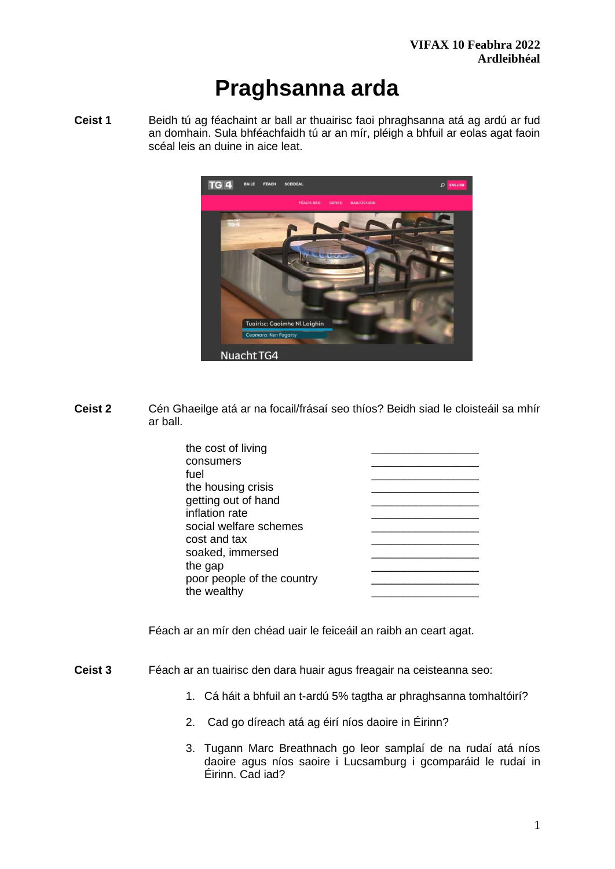# **Praghsanna arda**

**Ceist 1** Beidh tú ag féachaint ar ball ar thuairisc faoi phraghsanna atá ag ardú ar fud an domhain. Sula bhféachfaidh tú ar an mír, pléigh a bhfuil ar eolas agat faoin scéal leis an duine in aice leat.



**Ceist 2** Cén Ghaeilge atá ar na focail/frásaí seo thíos? Beidh siad le cloisteáil sa mhír ar ball.

| the cost of living         |  |
|----------------------------|--|
| consumers                  |  |
| fuel                       |  |
| the housing crisis         |  |
| getting out of hand        |  |
| inflation rate             |  |
| social welfare schemes     |  |
| cost and tax               |  |
| soaked, immersed           |  |
| the gap                    |  |
| poor people of the country |  |
| the wealthy                |  |
|                            |  |

Féach ar an mír den chéad uair le feiceáil an raibh an ceart agat.

- **Ceist 3** Féach ar an tuairisc den dara huair agus freagair na ceisteanna seo:
	- 1. Cá háit a bhfuil an t-ardú 5% tagtha ar phraghsanna tomhaltóirí?
	- 2. Cad go díreach atá ag éirí níos daoire in Éirinn?
	- 3. Tugann Marc Breathnach go leor samplaí de na rudaí atá níos daoire agus níos saoire i Lucsamburg i gcomparáid le rudaí in Éirinn. Cad iad?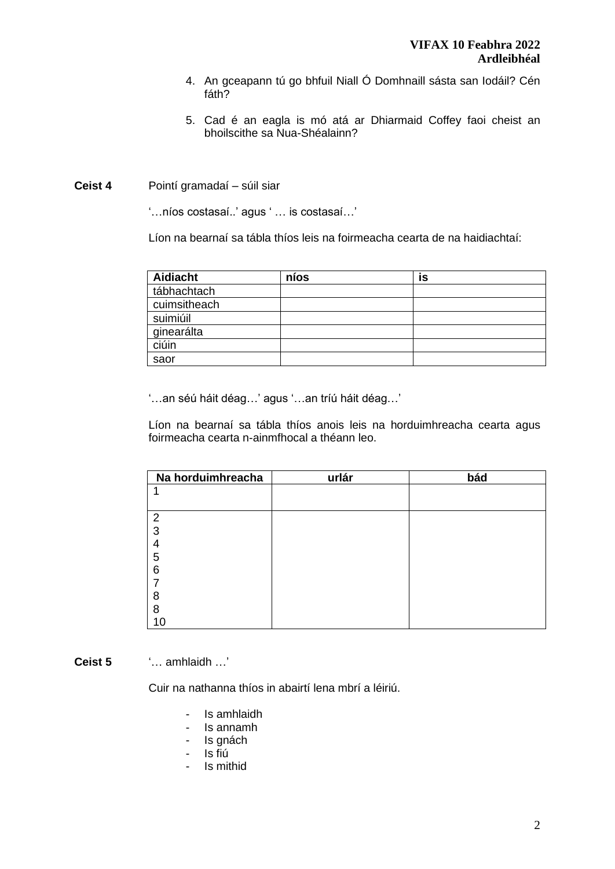- 4. An gceapann tú go bhfuil Niall Ó Domhnaill sásta san Iodáil? Cén fáth?
- 5. Cad é an eagla is mó atá ar Dhiarmaid Coffey faoi cheist an bhoilscithe sa Nua-Shéalainn?

#### **Ceist 4** Pointí gramadaí – súil siar

'…níos costasaí..' agus ' … is costasaí…'

Líon na bearnaí sa tábla thíos leis na foirmeacha cearta de na haidiachtaí:

| <b>Aidiacht</b> | níos | İS |  |
|-----------------|------|----|--|
| tábhachtach     |      |    |  |
| cuimsitheach    |      |    |  |
| suimiúil        |      |    |  |
| ginearálta      |      |    |  |
| ciúin           |      |    |  |
| saor            |      |    |  |

'…an séú háit déag…' agus '…an tríú háit déag…'

Líon na bearnaí sa tábla thíos anois leis na horduimhreacha cearta agus foirmeacha cearta n-ainmfhocal a théann leo.

| Na horduimhreacha | urlár | bád |
|-------------------|-------|-----|
|                   |       |     |
|                   |       |     |
| $\overline{2}$    |       |     |
| 3                 |       |     |
|                   |       |     |
| 5                 |       |     |
| 6                 |       |     |
|                   |       |     |
| 8                 |       |     |
| 8                 |       |     |
| 10                |       |     |

**Ceist 5** '… amhlaidh …'

Cuir na nathanna thíos in abairtí lena mbrí a léiriú.

- Is amhlaidh
- Is annamh
- Is gnách
- Is fiú
- Is mithid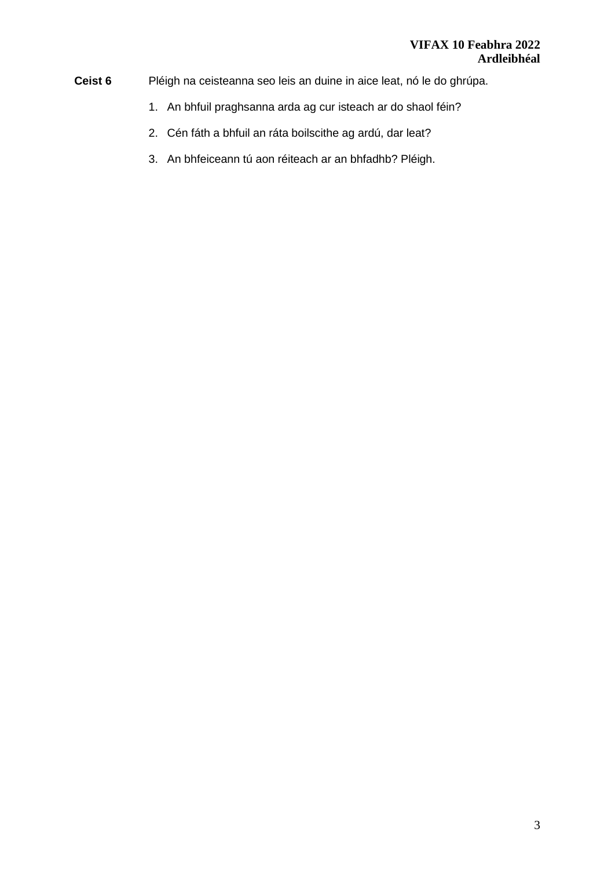- **Ceist 6** Pléigh na ceisteanna seo leis an duine in aice leat, nó le do ghrúpa.
	- 1. An bhfuil praghsanna arda ag cur isteach ar do shaol féin?
	- 2. Cén fáth a bhfuil an ráta boilscithe ag ardú, dar leat?
	- 3. An bhfeiceann tú aon réiteach ar an bhfadhb? Pléigh.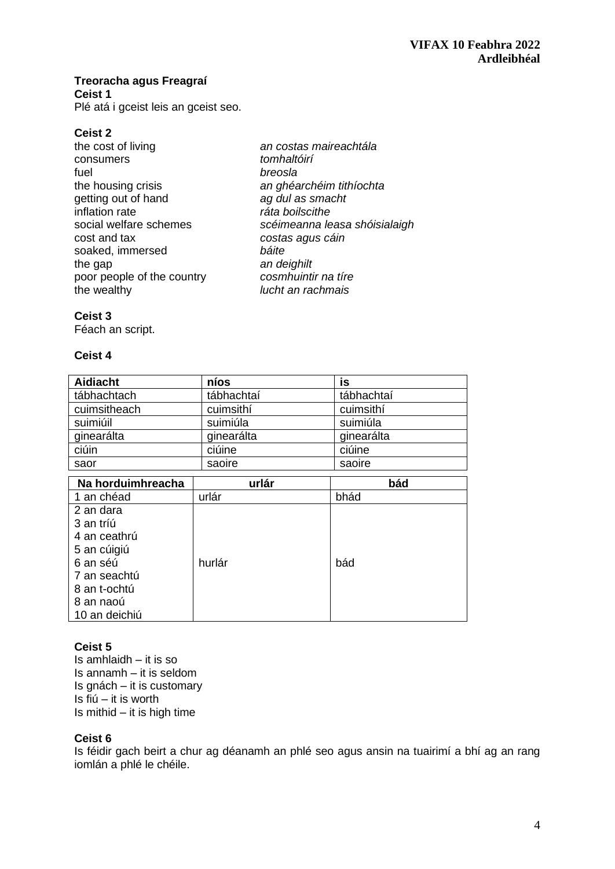# **Treoracha agus Freagraí**

**Ceist 1**

Plé atá i gceist leis an gceist seo.

**Ceist 2**  consumers *tomhaltóirí*  fuel *breosla*  getting out of hand *ag dul as smacht* inflation rate *ráta boilscithe*  cost and tax *costas agus cáin* soaked, immersed *báite* the gap<br>poor people of the country **an deighilt**<br>cosmhuintir na tire poor people of the country<br>the wealthy

the cost of living *an costas maireachtála*  the housing crisis *an ghéarchéim tithíochta*  social welfare schemes *scéimeanna leasa shóisialaigh* the wealthy *lucht an rachmais* 

# **Ceist 3**

Féach an script.

## **Ceist 4**

| <b>Aidiacht</b> | níos       | is         |
|-----------------|------------|------------|
| tábhachtach     | tábhachtaí | tábhachtaí |
| cuimsitheach    | cuimsithí  | cuimsithí  |
| suimiúil        | suimiúla   | suimiúla   |
| ginearálta      | ginearálta | ginearálta |
| ciúin           | ciúine     | ciúine     |
| saor            | saoire     | saoire     |

| Na horduimhreacha | urlár  | bád  |
|-------------------|--------|------|
| 1 an chéad        | urlár  | bhád |
| 2 an dara         |        |      |
| 3 an tríú         |        |      |
| 4 an ceathrú      |        |      |
| 5 an cúigiú       |        |      |
| 6 an séú          | hurlár | bád  |
| 7 an seachtú      |        |      |
| 8 an t-ochtú      |        |      |
| 8 an naoú         |        |      |
| 10 an deichiú     |        |      |

# **Ceist 5**

Is amhlaidh – it is so Is annamh – it is seldom Is gnách – it is customary Is fiú – it is worth Is mithid  $-$  it is high time

# **Ceist 6**

Is féidir gach beirt a chur ag déanamh an phlé seo agus ansin na tuairimí a bhí ag an rang iomlán a phlé le chéile.